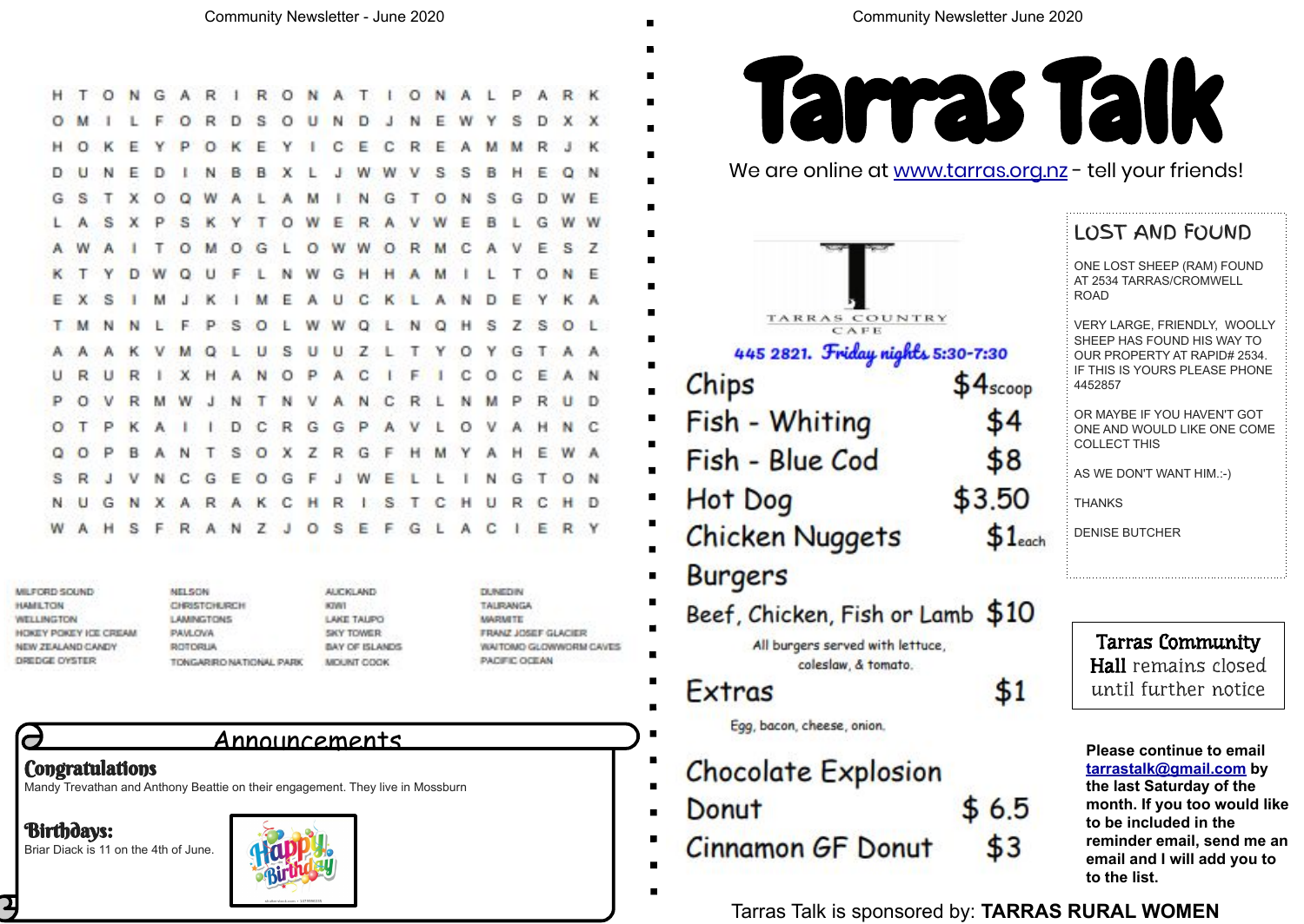Mandy Trevathan and Anthony Beattie on their engagement. They live in Mossburn

Birthdays: Briar Diack is 11 on the 4th of June.



Announcements

NGARIRONATIONALP

|     | A R K          |                | $\blacksquare$<br>■                                                     |    |
|-----|----------------|----------------|-------------------------------------------------------------------------|----|
|     | D X X          |                | ■                                                                       |    |
| R   | J K            |                | ■                                                                       |    |
|     | Q              | ∷ N            | We are online at www.tarras<br>$\blacksquare$                           |    |
|     | w              | - E            | ■                                                                       |    |
| G   | W W            |                | ■                                                                       |    |
|     | ESZ            |                | ■                                                                       |    |
|     | N              | Æ              | $\blacksquare$                                                          |    |
|     | Y K A          |                | ■                                                                       |    |
|     |                | O L            | TARRAS COUNTRY<br>■                                                     |    |
|     | E A N          | A A            | 445 2821. Friday nights 5:30-7:30<br>П                                  |    |
|     | R U D          |                | Chips                                                                   | sc |
| н   | N <sub>C</sub> |                | Fish - Whiting<br>■                                                     |    |
|     | E W A          |                | П<br>Fish - Blue Cod                                                    |    |
| т   | ON             |                | $\blacksquare$                                                          |    |
|     | н              | D              | Hot Dog                                                                 |    |
|     | R              | ۰Y             | <b>Chicken Nuggets</b>                                                  | \$ |
|     |                |                | <b>Burgers</b><br>ш                                                     |    |
| ЖAN |                | GLOWWORM CAVES | Beef, Chicken, Fish or Lamb \$<br>All burgers served with lettuce,<br>Ш |    |
|     |                |                | coleslaw, & tomato.<br>Extras                                           | \$ |
|     |                |                | Egg, bacon, cheese, onion.<br>■                                         |    |
|     |                |                | ш<br><b>Chocolate Explosion</b>                                         |    |
|     |                |                | Donut<br>■                                                              | 6  |
|     |                |                | <b>Cinnamon GF Donut</b><br>٠<br>٠                                      |    |
|     |                |                | ■                                                                       |    |

 $\circ$  $\Omega$ R D 巨 ு s  $\circ$  $\mathbf{u}$ N D F. s - 30 N  $H$  O R Ε P  $\circ$ к E v с E c R E D Е Ð N в в x w s s н F. ×С G **S**  $\tau$  $\mathbf{x}$  $\circ$ Q W  $A$  $\mathbf{L}$ M N G ਾ  $\circ$ N S G D W A s s  $\times$ P - K **V**  $T$  $\circ$ W F R A  $\mathbf{v}$ E B η. G W G OWWOR  $\mathbb{C}$ E.S O M  $\Omega$ п. M v т.  $\cup$ W  $O N$  $\mathbf{D}$ W  $\Omega$ F **N** G  $H$  $\mathbf{H}$ M T. - 1  $\mathbf{A}$ к  $\mathbf{C}$  $K<sub>1</sub>$ E - х s M  $\mathbf{J}$ M Æ  $A$ **U**  $\Lambda$ **N** Ð Е YK P s W  $S<sub>0</sub>$ T M F.  $\circ$  $+$ W Q 'N  $\Omega$ s Z. 2. L  $Q<sub>1</sub>$ А к V M  $\cup$  S  $U$   $U$  $Z$  $T$  $\circ$ G T A A ட Y  $\cup$ R I X H A N O P A<sub>C</sub>  $\mathbb{C}$ EA u R F c  $\circ$ R M W J N T N V A N C P  $\circ$  $\mathbf{v}$ R L N M P RU KAIIDCRGGP P A V  $\circ$ HN  $\circ$  $\top$  $\mathbf{L}$ v  $A$ ANTSOXZRG ο  $\circ$ P **B** ा - 14 M Y А H EW VNCGEOGF T<sub>0</sub> s -R  $\mathbf{H}$  $J$  W. N G F л. **XARAKCHRI** S.  $T$ c R C H N G N  $H$ U H S F R A N Z J O S E F G L A C  $E$ W

MILFORD SOUND **HAMILTON WELLINGTON** HOKEY POKEY ICE CREAM NEW ZEALAND CANDY DREDGE OYSTER

 $H$  T

 $\circ$ 

**NELSON** CHRISTOHURCH **LAMNGTONS PAVLOVA** ROTORUA TONGARIRO NATIONAL PARK

AUCKLAND KIWT LAKE TALIPO **SKY TOWER BAY OF ISLANDS** MOUNT COOK

**DUNEDIN** TALIRANGA **MARMITE FRANZ JOSEF GLAC** WAITOMO GLOWWO PACIFIC OCEAN

### **Congratulations**

 $\overline{\phantom{a}}$ 

 $\mathbf{p}$ 

**Please continue to email [tarrastalk@gmail.com](mailto:tarrastalk@gmail.com) by the last Saturday of the month. If you too would like to be included in the reminder email, send me an email and I will add you to to the list.** 

oop 4 8 ōΟ  $1$ each

10

51

.5 3

Tarras Talk is sponsored by: **TARRAS RURAL WOMEN**



org.nz - tell your friends!

Tarras Community Hall remains closed until further notice

#### LOST AND FOUND

ONE LOST SHEEP (RAM) FOUND AT 2534 TARRAS/CROMWELL ROAD

VERY LARGE, FRIENDLY, WOOLLY SHEEP HAS FOUND HIS WAY TO OUR PROPERTY AT RAPID# 2534. IF THIS IS YOURS PLEASE PHONE 4452857

OR MAYBE IF YOU HAVEN'T GOT ONE AND WOULD LIKE ONE COME COLLECT THIS

AS WE DON'T WANT HIM.:-)

THANKS

DENISE BUTCHER